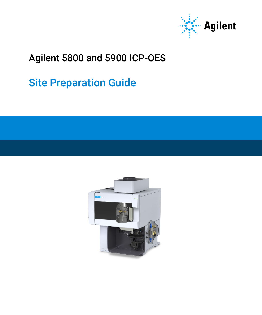

# Agilent 5800 and 5900 ICP-OES

# Site Preparation Guide

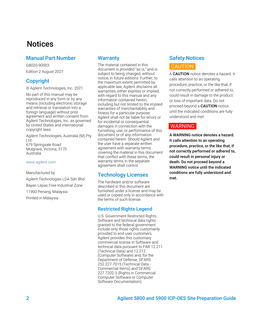## **Notices**

### Manual Part Number

G8020-90003 Edition 2 August 2021

### **Copyright**

© Agilent Technologies, Inc. 2021

No part of this manual may be reproduced in any form or by any means (including electronic storage and retrieval or translation into a foreign language) without prior agreement and written consent from Agilent Technologies, Inc. as governed by United States and international copyright laws.

Agilent Technologies, Australia (M) Pty Ltd 679 Springvale Road Mulgrave, Victoria, 3170 Australia

[www.agilent.com](http://www.agilent.com/)

Manufactured by

Agilent Technologies LDA Sdn Bhd Bayan Lepas Free Industrial Zone 11900 Penang, Malaysia Printed in Malaysia

### **Warranty**

The material contained in this document is provided "as is," and is subject to being changed, without notice, in future editions. Further, to the maximum extent permitted by applicable law, Agilent disclaims all warranties, either express or implied, with regard to this manual and any information contained herein, including but not limited to the implied warranties of merchantability and fitness for a particular purpose. Agilent shall not be liable for errors or for incidental or consequential damages in connection with the furnishing, use, or performance of this document or of any information contained herein. Should Agilent and the user have a separate written agreement with warranty terms covering the material in this document that conflict with these terms, the warranty terms in the separate agreement shall control.

### Technology Licenses

The hardware and/or software described in this document are furnished under a license and may be used or copied only in accordance with the terms of such license.

### Restricted Rights Legend

U.S. Government Restricted Rights. Software and technical data rights granted to the federal government include only those rights customarily provided to end user customers. Agilent provides this customary commercial license in Software and technical data pursuant to FAR 12.211 (Technical Data) and 12.212 (Computer Software) and, for the Department of Defense, DFARS 252.227-7015 (Technical Data - Commercial Items) and DFARS 227.7202-3 (Rights in Commercial Computer Software or Computer Software Documentation).

### Safety Notices **CAUTION**

A CAUTION notice denotes a hazard. It calls attention to an operating procedure, practice, or the like that, if not correctly performed or adhered to, could result in damage to the product or loss of important data. Do not proceed beyond a **CAUTION** notice until the indicated conditions are fully understood and met.

### WARNING

A WARNING notice denotes a hazard. It calls attention to an operating procedure, practice, or the like that, if not correctly performed or adhered to, could result in personal injury or death. Do not proceed beyond a WARNING notice until the indicated conditions are fully understood and met.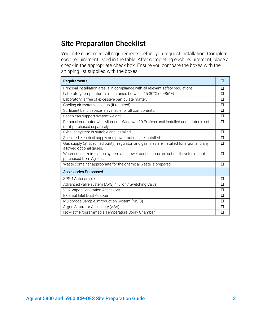## <span id="page-2-0"></span>Site Preparation Checklist

Your site must meet all requirements before you request installation. Complete each requirement listed in the table. After completing each requirement, place a check in the appropriate check box. Ensure you compare the boxes with the shipping list supplied with the boxes.

| <b>Requirements</b>                                                                                                   | ☑      |
|-----------------------------------------------------------------------------------------------------------------------|--------|
| Principal installation area is in compliance with all relevant safety regulations.                                    | п      |
| Laboratory temperature is maintained between 15-30°C (59-86°F)                                                        | п      |
| Laboratory is free of excessive particulate matter.                                                                   | $\Box$ |
| Cooling air system is set up (if required).                                                                           | $\Box$ |
| Sufficient bench space is available for all components.                                                               | п      |
| Bench can support system weight.                                                                                      | п      |
| Personal computer with Microsoft Windows 10 Professional installed and printer is set<br>up, if purchased separately. | п      |
| Exhaust system is suitable and installed.                                                                             | П      |
| Specified electrical supply and power outlets are installed.                                                          | п      |
| Gas supply (at specified purity), regulator, and gas lines are installed for argon and any<br>allowed optional gases. | п      |
| Water cooling/circulation system and power connections are set up, if system is not<br>purchased from Agilent.        | п      |
| Waste container appropriate for the chemical waste is prepared.                                                       | п      |
| Accessories Purchased                                                                                                 |        |
| SPS 4 Autosampler                                                                                                     | п      |
| Advanced valve system (AVS) 4, 6, or 7 Switching Valve                                                                | п      |
| <b>VGA Vapor Generation Accessory</b>                                                                                 | п      |
| External Inlet Duct Adapter                                                                                           | П      |
| Multimode Sample Introduction System (MSIS)                                                                           | п      |
| Argon Saturator Accessory (ASA)                                                                                       | П      |
| IsoMist <sup>™</sup> Programmable Temperature Spray Chamber                                                           | $\Box$ |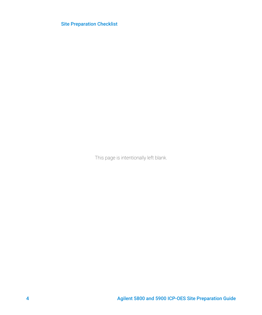Site Preparation Checklist

This page is intentionally left blank.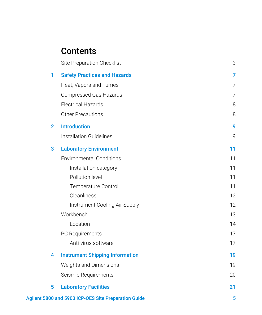# **Contents**

|                         | Site Preparation Checklist                           | 3  |
|-------------------------|------------------------------------------------------|----|
| 1                       | <b>Safety Practices and Hazards</b>                  | 7  |
|                         | Heat, Vapors and Fumes                               | 7  |
|                         | <b>Compressed Gas Hazards</b>                        | 7  |
|                         | <b>Electrical Hazards</b>                            | 8  |
|                         | <b>Other Precautions</b>                             | 8  |
| $\overline{2}$          | <b>Introduction</b>                                  | 9  |
|                         | <b>Installation Guidelines</b>                       | 9  |
| 3                       | <b>Laboratory Environment</b>                        | 11 |
|                         | <b>Environmental Conditions</b>                      | 11 |
|                         | Installation category                                | 11 |
|                         | Pollution level                                      | 11 |
|                         | Temperature Control                                  | 11 |
|                         | Cleanliness                                          | 12 |
|                         | Instrument Cooling Air Supply                        | 12 |
|                         | Workbench                                            | 13 |
|                         | Location                                             | 14 |
|                         | PC Requirements                                      | 17 |
|                         | Anti-virus software                                  | 17 |
| $\overline{\mathbf{4}}$ | <b>Instrument Shipping Information</b>               | 19 |
|                         | Weights and Dimensions                               | 19 |
|                         | Seismic Requirements                                 | 20 |
| 5                       | <b>Laboratory Facilities</b>                         | 21 |
|                         | Agilent 5800 and 5900 ICP-OES Site Preparation Guide | 5  |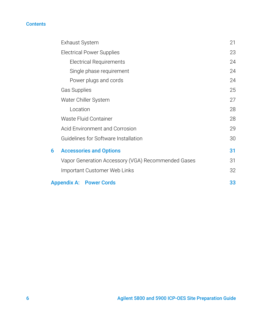### **Contents**

|   | <b>Exhaust System</b>                              | 21 |
|---|----------------------------------------------------|----|
|   | <b>Electrical Power Supplies</b>                   | 23 |
|   | <b>Electrical Requirements</b>                     | 24 |
|   | Single phase requirement                           | 24 |
|   | Power plugs and cords                              | 24 |
|   | <b>Gas Supplies</b>                                | 25 |
|   | Water Chiller System                               | 27 |
|   | Location                                           | 28 |
|   | Waste Fluid Container                              | 28 |
|   | <b>Acid Environment and Corrosion</b>              | 29 |
|   | Guidelines for Software Installation               | 30 |
| 6 | <b>Accessories and Options</b>                     | 31 |
|   | Vapor Generation Accessory (VGA) Recommended Gases | 31 |
|   | Important Customer Web Links                       | 32 |
|   | <b>Appendix A: Power Cords</b>                     | 33 |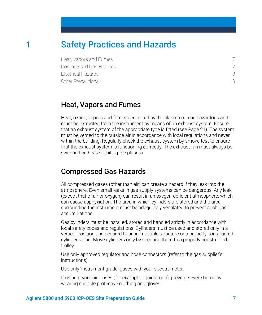# <span id="page-6-1"></span><span id="page-6-0"></span>1 Safety Practices and Hazards

| Heat, Vapors and Fumes |  |
|------------------------|--|
| Compressed Gas Hazards |  |
| Electrical Hazards     |  |
| Other Precautions      |  |

### Heat, Vapors and Fumes

Heat, ozone, vapors and fumes generated by the plasma can be hazardous and must be extracted from the instrument by means of an exhaust system. Ensure that an exhaust system of the appropriate type is fitted (see Pag[e 21\)](#page-20-1). The system must be vented to the outside air in accordance with local regulations and never within the building. Regularly check the exhaust system by smoke test to ensure that the exhaust system is functioning correctly. The exhaust fan must always be switched on *before* igniting the plasma.

### <span id="page-6-2"></span>Compressed Gas Hazards

All compressed gases (other than air) can create a hazard if they leak into the atmosphere. Even small leaks in gas supply systems can be dangerous. Any leak (except that of air or oxygen) can result in an oxygen-deficient atmosphere, which can cause asphyxiation. The area in which cylinders are stored and the area surrounding the instrument must be adequately ventilated to prevent such gas accumulations.

Gas cylinders must be installed, stored and handled strictly in accordance with local safety codes and regulations. Cylinders must be used and stored only in a vertical position and secured to an immovable structure or a properly constructed cylinder stand. Move cylinders only by securing them to a properly constructed trolley.

Use only approved regulator and hose connectors (refer to the gas supplier's instructions).

Use only 'instrument grade' gases with your spectrometer.

If using cryogenic gases (for example, liquid argon), prevent severe burns by wearing suitable protective clothing and gloves.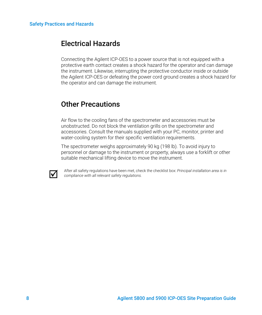### <span id="page-7-0"></span>Electrical Hazards

Connecting the Agilent ICP-OES to a power source that is not equipped with a protective earth contact creates a shock hazard for the operator and can damage the instrument. Likewise, interrupting the protective conductor inside or outside the Agilent ICP-OES or defeating the power cord ground creates a shock hazard for the operator and can damage the instrument.

### <span id="page-7-1"></span>Other Precautions

Air flow to the cooling fans of the spectrometer and accessories must be unobstructed. Do not block the ventilation grills on the spectrometer and accessories. Consult the manuals supplied with your PC, monitor, printer and water-cooling system for their specific ventilation requirements.

The spectrometer weighs approximately 90 kg (198 lb). To avoid injury to personnel or damage to the instrument or property, always use a forklift or other suitable mechanical lifting device to move the instrument.



 After all safety regulations have been met, check the checklist box: *Principal installation area is in compliance with all relevant safety regulations.*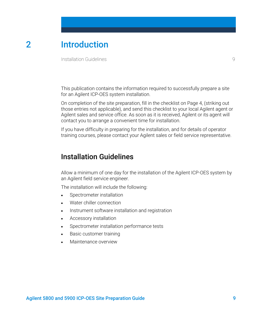# <span id="page-8-0"></span>2 Introduction

[Installation Guidelines](#page-8-1) [9](#page-8-1)

This publication contains the information required to successfully prepare a site for an Agilent ICP-OES system installation.

On completion of the site preparation, fill in the checklist on Page 4, (striking out those entries not applicable), and send this checklist to your local Agilent agent or Agilent sales and service office. As soon as it is received, Agilent or its agent will contact you to arrange a convenient time for installation.

<span id="page-8-1"></span>If you have difficulty in preparing for the installation, and for details of operator training courses, please contact your Agilent sales or field service representative.

### Installation Guidelines

Allow a minimum of one day for the installation of the Agilent ICP-OES system by an Agilent field service engineer.

The installation will include the following:

- Spectrometer installation
- Water chiller connection
- Instrument software installation and registration
- Accessory installation
- Spectrometer installation performance tests
- Basic customer training
- Maintenance overview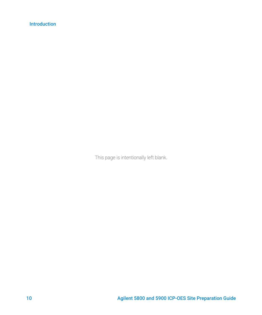Introduction

This page is intentionally left blank.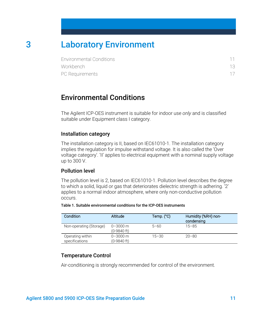# <span id="page-10-1"></span><span id="page-10-0"></span>3 Laboratory Environment

| Environmental Conditions | 11 |
|--------------------------|----|
| Workbench                | 13 |
| PC Requirements          | 17 |

### Environmental Conditions

The Agilent ICP-OES instrument is suitable for indoor use *only* and is classified suitable under Equipment class I category.

### <span id="page-10-2"></span>Installation category

The installation category is II, based on IEC61010-1. The installation category implies the regulation for impulse withstand voltage. It is also called the 'Over voltage category'. 'II' applies to electrical equipment with a nominal supply voltage up to 300 V.

### <span id="page-10-3"></span>Pollution level

The pollution level is 2, based on IEC61010-1. Pollution level describes the degree to which a solid, liquid or gas that deteriorates dielectric strength is adhering. '2' applies to a normal indoor atmosphere, where only non-conductive pollution occurs.

| Condition               | Altitude      | Temp. (°C) | Humidity (%RH) non-<br>condensing |
|-------------------------|---------------|------------|-----------------------------------|
| Non-operating (Storage) | $0 - 3000$ m  | $5 - 60$   | $15 - 85$                         |
|                         | $(0-9840 ft)$ |            |                                   |
| Operating within        | $0 - 3000$ m  | $15 - 30$  | $20 - 80$                         |
| specifications          | (0-9840 ft)   |            |                                   |

#### Table 1. Suitable environmental conditions for the ICP-OES instruments

### <span id="page-10-4"></span>Temperature Control

Air-conditioning is strongly recommended for control of the environment.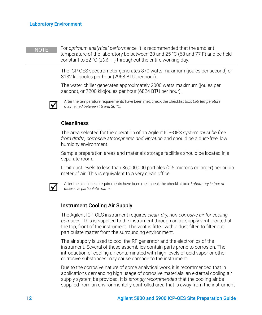#### Laboratory Environment

NOTE For *optimum analytical performance*, it is recommended that the ambient temperature of the laboratory be between 20 and 25 °C (68 and 77 F) and be held constant to  $\pm 2$  °C ( $\pm 3.6$  °F) throughout the entire working day.

> The ICP-OES spectrometer generates 870 watts maximum (joules per second) or 3132 kilojoules per hour (2968 BTU per hour).

The water chiller generates approximately 2000 watts maximum (joules per second), or 7200 kilojoules per hour (6824 BTU per hour).

<span id="page-11-0"></span>

 After the temperature requirements have been met, check the checklist box: *Lab temperature maintained between 15 and 30 °C.*

### **Cleanliness**

The area selected for the operation of an Agilent ICP-OES system *must be free from drafts, corrosive atmospheres and vibration* and should be a dust-free, low humidity environment.

Sample preparation areas and materials storage facilities should be located in a separate room.

Limit dust levels to less than 36,000,000 particles (0.5 microns or larger) per cubic meter of air. This is equivalent to a very clean office.

<span id="page-11-1"></span>

 After the cleanliness requirements have been met, check the checklist box: *Laboratory is free of excessive particulate matter.*

#### Instrument Cooling Air Supply

The Agilent ICP-OES instrument requires *clean, dry, non-corrosive air for cooling purposes.* This is supplied to the instrument through an air supply vent located at the top, front of the instrument. The vent is fitted with a dust filter, to filter out particulate matter from the surrounding environment.

The air supply is used to cool the RF generator and the electronics of the instrument. Several of these assemblies contain parts prone to corrosion. The introduction of cooling air contaminated with high levels of acid vapor or other corrosive substances may cause damage to the instrument.

Due to the corrosive nature of some analytical work, it is recommended that in applications demanding high usage of corrosive materials, an external cooling air supply system be provided. It is *strongly recommended* that the cooling air be supplied from an environmentally controlled area that is away from the instrument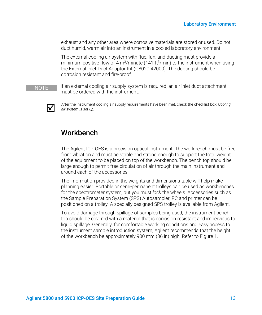exhaust and any other area where corrosive materials are stored or used. Do not duct humid, warm air into an instrument in a cooled laboratory environment.

The external cooling air system with flue, fan, and ducting must provide a minimum positive flow of 4 m<sup>3</sup>/minute (141 ft<sup>3</sup>/min) to the instrument when using the External Inlet Duct Adaptor Kit (G8020-42000). The ducting should be corrosion resistant and fire-proof.

 $\overline{\text{NOTE}}$  If an external cooling air supply system is required, an air inlet duct attachment must be ordered with the instrument.

<span id="page-12-0"></span>

 After the instrument cooling air supply requirements have been met, check the checklist box: *Cooling air system is set up.*

### Workbench

The Agilent ICP-OES is a precision optical instrument. The workbench must be free from vibration and must be stable and strong enough to support the total weight of the equipment to be placed on top of the workbench. The bench top should be large enough to permit free circulation of air through the main instrument and around each of the accessories.

The information provided in the weights and dimensions table will help make planning easier. Portable or semi-permanent trolleys can be used as workbenches for the spectrometer system, but you must *lock* the wheels. Accessories such as the Sample Preparation System (SPS) Autosampler, PC and printer can be positioned on a trolley. A specially designed SPS trolley is available from Agilent.

To avoid damage through spillage of samples being used, the instrument bench top should be covered with a material that is corrosion-resistant and impervious to liquid spillage. Generally, for comfortable working conditions and easy access to the instrument sample introduction system, Agilent recommends that the height of the workbench be approximately 900 mm (36 in) high. Refer to Figure 1.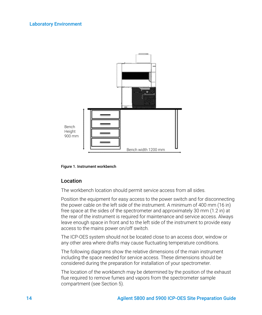#### Laboratory Environment



Figure 1. Instrument workbench

### <span id="page-13-0"></span>Location

The workbench location should permit service access from all sides.

Position the equipment for easy access to the power switch and for disconnecting the power cable on the left side of the instrument. A minimum of 400 mm (16 in) free space at the sides of the spectrometer and approximately 30 mm (1.2 in) at the rear of the instrument is required for maintenance and service access. Always leave enough space in front and to the left side of the instrument to provide easy access to the mains power on/off switch.

The ICP-OES system should not be located close to an access door, window or any other area where drafts may cause fluctuating temperature conditions.

The following diagrams show the relative dimensions of the main instrument including the space needed for service access. These dimensions should be considered during the preparation for installation of your spectrometer.

The location of the workbench may be determined by the position of the exhaust flue required to remove fumes and vapors from the spectrometer sample compartment (see Section 5).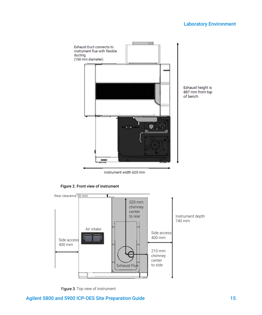

Figure 2. Front view of instrument



Figure 3. Top view of instrument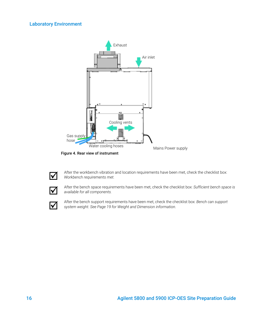### Laboratory Environment



Figure 4. Rear view of instrument



After the workbench vibration and location requirements have been met, check the checklist box:<br>Workbench requirements met *Workbench requirements met.*



 After the bench space requirements have been met, check the checklist box: *Sufficient bench space is available for all components.*



After the bench support requirements have been met, check the checklist box: *Bench can support* and proport over the checklist box: *Bench can support system weight. See Page [19](#page-18-1) for Weight and Dimension information.*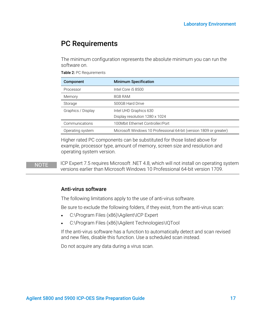### <span id="page-16-0"></span>PC Requirements

The minimum configuration represents the absolute minimum you can run the software on.

| Component          | <b>Minimum Specification</b>                                       |
|--------------------|--------------------------------------------------------------------|
| Processor          | Intel Core i5 8500                                                 |
| Memory             | 8GB RAM                                                            |
| Storage            | 500GB Hard Drive                                                   |
| Graphics / Display | Intel UHD Graphics 630                                             |
|                    | Display resolution 1280 x 1024                                     |
| Communications     | 100Mbit Ethernet Controller/Port                                   |
| Operating system   | Microsoft Windows 10 Professional 64-bit (version 1809 or greater) |

Table 2: PC Requirements

Higher rated PC components can be substituted for those listed above for example, processor type, amount of memory, screen size and resolution and operating system version.

<span id="page-16-1"></span>

NOTE ICP Expert 7.5 requires Microsoft .NET 4.8, which will not install on operating system versions earlier than Microsoft Windows 10 Professional 64-bit version 1709.

### Anti-virus software

The following limitations apply to the use of anti-virus software.

Be sure to exclude the following folders, if they exist, from the anti-virus scan:

- C:\Program Files (x86)\Agilent\ICP Expert
- C:\Program Files (x86)\Agilent Technologies\IQTool

If the anti-virus software has a function to automatically detect and scan revised and new files, disable this function. Use a scheduled scan instead.

Do not acquire any data during a virus scan.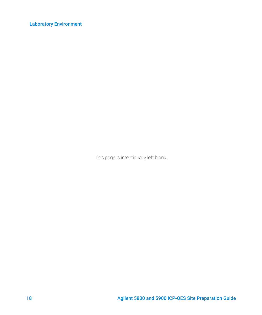### Laboratory Environment

This page is intentionally left blank.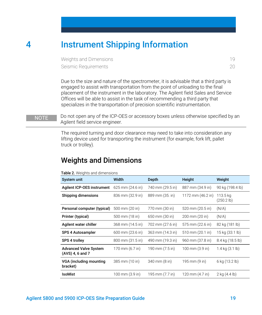# <span id="page-18-0"></span>4 Instrument Shipping Information

| Weights and Dimensions |  |
|------------------------|--|
| Seismic Requirements   |  |

Due to the size and nature of the spectrometer, it is advisable that a third party is engaged to assist with transportation from the point of unloading to the final placement of the instrument in the laboratory. The Agilent field Sales and Service Offices will be able to assist in the task of recommending a third party that specializes in the transportation of precision scientific instrumentation.

<span id="page-18-1"></span>NOTE Do not open any of the ICP-OES or accessory boxes unless otherwise specified by an Agilent field service engineer.

> The required turning and door clearance may need to take into consideration any lifting device used for transporting the instrument (for example, fork lift, pallet truck or trolley).

### Weights and Dimensions

| Table 2. Weights and dimensions                  |                  |                  |                   |                                  |
|--------------------------------------------------|------------------|------------------|-------------------|----------------------------------|
| System unit                                      | Width            | Depth            | Height            | Weight                           |
| <b>Agilent ICP-OES instrument</b>                | 625 mm (24.6 in) | 740 mm (29.5 in) | 887 mm (34.9 in)  | 90 kg (198.4 lb)                 |
| Shipping dimensions                              | 836 mm (32.9 in) | 889 mm (35. in)  | 1172 mm (46.2 in) | 113.5 kg<br>$(250.2 \text{ lb})$ |
| Personal computer (typical)                      | 500 mm (20 in)   | 770 mm (30 in)   | 520 mm (20.5 in)  | (N/A)                            |
| Printer (typical)                                | 500 mm (18 in)   | 650 mm (30 in)   | 200 mm (20 in)    | (N/A)                            |
| Agilent water chiller                            | 368 mm (14.5 in) | 702 mm (27.6 in) | 575 mm (22.6 in)  | 82 kg (181 lb)                   |
| SPS 4 Autosampler                                | 600 mm (23.6 in) | 363 mm (14.3 in) | 510 mm (20.1 in)  | 15 kg (33.1 lb)                  |
| <b>SPS 4 trolley</b>                             | 800 mm (31.5 in) | 490 mm (19.3 in) | 960 mm (37.8 in)  | 8.4 kg (18.5 lb)                 |
| <b>Advanced Valve System</b><br>(AVS) 4, 6 and 7 | 170 mm (6.7 in)  | 190 mm (7.5 in)  | 100 mm (3.9 in)   | $1.4$ kg $(3.1 \text{ lb})$      |
| VGA (including mounting<br>bracket)              | 385 mm (10 in)   | 340 mm (8 in)    | 195 mm (9 in)     | 6 kg (13.2 lb)                   |
| <b>IsoMist</b>                                   | 100 mm (3.9 in)  | 195 mm (7.7 in)  | 120 mm (4.7 in)   | 2 kg $(4.4 \text{ lb})$          |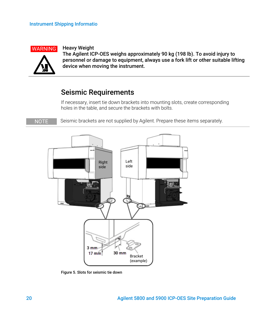<span id="page-19-0"></span>

WARNING Heavy Weight

The Agilent ICP-OES weighs approximately 90 kg (198 lb). To avoid injury to personnel or damage to equipment, always use a fork lift or other suitable lifting device when moving the instrument.

### Seismic Requirements

If necessary, insert tie down brackets into mounting slots, create corresponding holes in the table, and secure the brackets with bolts.

NOTE Seismic brackets are not supplied by Agilent. Prepare these items separately.



Figure 5. Slots for seismic tie down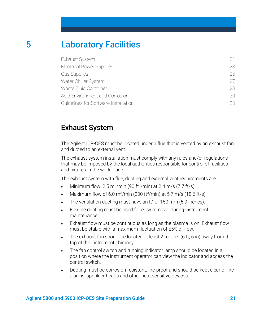# <span id="page-20-1"></span><span id="page-20-0"></span>5 Laboratory Facilities

| Exhaust System                       | 21 |
|--------------------------------------|----|
| <b>Electrical Power Supplies</b>     | 23 |
| <b>Gas Supplies</b>                  | 25 |
| Water Chiller System                 | 27 |
| Waste Fluid Container                | 28 |
| Acid Environment and Corrosion       | 29 |
| Guidelines for Software Installation | 30 |

### Exhaust System

The Agilent ICP-OES must be located under a flue that is vented by an exhaust fan and ducted to an external vent.

The exhaust system installation must comply with any rules and/or regulations that may be imposed by the local authorities responsible for control of facilities and fixtures in the work place.

The exhaust system with flue, ducting and external vent requirements are:

- Minimum flow:  $2.5 \text{ m}^3/\text{min}$  (90 ft $^3/\text{min}$ ) at  $2.4 \text{ m/s}$  (7.7 ft/s)
- Maximum flow of  $6.0 \text{ m}^3/\text{min}$  (200 ft $^3/\text{min}$ ) at  $5.7 \text{ m/s}$  (18.6 ft/s).
- The ventilation ducting must have an ID of 150 mm (5.9 inches).
- Flexible ducting must be used for easy removal during instrument maintenance.
- Exhaust flow must be continuous as long as the plasma is on. Exhaust flow must be stable with a maximum fluctuation of ±5% of flow.
- The exhaust fan should be located at least 2 meters (6 ft, 6 in) away from the top of the instrument chimney.
- The fan control switch and running indicator lamp should be located in a position where the instrument operator can view the indicator and access the control switch.
- Ducting must be corrosion-resistant, fire-proof and should be kept clear of fire alarms, sprinkler heads and other heat sensitive devices.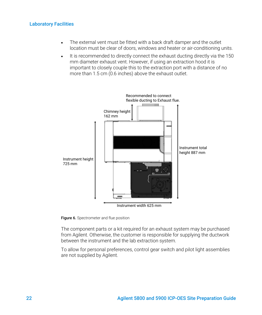#### Laboratory Facilities

- The external vent must be fitted with a back draft damper and the outlet location must be clear of doors, windows and heater or air-conditioning units.
- It is recommended to directly connect the exhaust ducting directly via the 150 mm diameter exhaust vent. However, if using an extraction hood it is important to closely couple this to the extraction port with a distance of no more than 1.5 cm (0.6 inches) above the exhaust outlet.



Figure 6. Spectrometer and flue position

The component parts or a kit required for an exhaust system may be purchased from Agilent. Otherwise, the customer is responsible for supplying the ductwork between the instrument and the lab extraction system.

To allow for personal preferences, control gear switch and pilot light assemblies are not supplied by Agilent.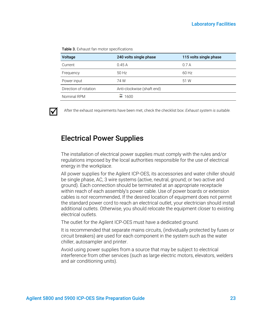| Voltage               | 240 volts single phase     | 115 volts single phase |
|-----------------------|----------------------------|------------------------|
| Current               | 0.45A                      | 0.7A                   |
| Frequency             | 50 Hz<br>60 Hz             |                        |
| Power input           | 74 W<br>51 W               |                        |
| Direction of rotation | Anti-clockwise (shaft end) |                        |
| Nominal RPM           | $= 1600$                   |                        |

|  |  |  |  |  | Table 3. Exhaust fan motor specifications |
|--|--|--|--|--|-------------------------------------------|
|--|--|--|--|--|-------------------------------------------|

<span id="page-22-0"></span>

After the exhaust requirements have been met, check the checklist box: *Exhaust system is suitable.*

### Electrical Power Supplies

The installation of electrical power supplies must comply with the rules and/or regulations imposed by the local authorities responsible for the use of electrical energy in the workplace.

All power supplies for the Agilent ICP-OES, its accessories and water chiller should be single phase, AC, 3 wire systems (active, neutral, ground; or two active and ground). Each connection should be terminated at an appropriate receptacle within reach of each assembly's power cable. Use of power boards or extension cables is *not* recommended. If the desired location of equipment does not permit the standard power cord to reach an electrical outlet, your electrician should install additional outlets. Otherwise, you should relocate the equipment closer to existing electrical outlets.

The outlet for the Agilent ICP-OES must have a dedicated ground.

It is recommended that separate mains circuits, (individually protected by fuses or circuit breakers) are used for each component in the system such as the water chiller, autosampler and printer.

Avoid using power supplies from a source that may be subject to electrical interference from other services (such as large electric motors, elevators, welders and air conditioning units).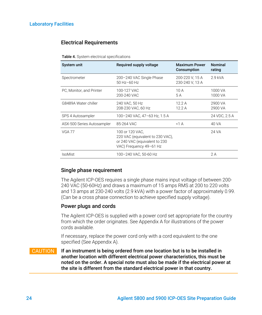### <span id="page-23-0"></span>Electrical Requirements

| System unit                | Required supply voltage                                                                                         | <b>Maximum Power</b><br>Consumption | <b>Nominal</b><br>rating |
|----------------------------|-----------------------------------------------------------------------------------------------------------------|-------------------------------------|--------------------------|
| Spectrometer               | 200-240 VAC Single Phase<br>$50$ Hz $-60$ Hz                                                                    | 200-220 V, 15 A<br>230-240 V, 13 A  | 2.9 kVA                  |
| PC, Monitor, and Printer   | 100-127 VAC<br>200-240 VAC                                                                                      | 10 A<br>5 A                         | 1000 VA<br>1000 VA       |
| G8489A Water chiller       | 240 VAC, 50 Hz<br>208-230 VAC, 60 Hz                                                                            | 12.2A<br>12.2A                      | 2900 VA<br>2900 VA       |
| SPS 4 Autosampler          | 100-240 VAC, 47-63 Hz, 1.5 A                                                                                    |                                     | 24 VDC, 2.5 A            |
| ASX-500 Series Autosampler | 85-264 VAC                                                                                                      | <1A                                 | 40 VA                    |
| <b>VGA 77</b>              | 100 or 120 VAC,<br>220 VAC (equivalent to 230 VAC),<br>or 240 VAC (equivalent to 230<br>VAC) Frequency 49-61 Hz |                                     | 24 VA                    |
| IsoMist                    | 100-240 VAC, 50-60 Hz                                                                                           |                                     | 2A                       |

#### Table 4. System electrical specifications

### <span id="page-23-1"></span>Single phase requirement

The Agilent ICP-OES requires a single phase mains input voltage of between 200- 240 VAC (50-60Hz) and draws a maximum of 15 amps RMS at 200 to 220 volts and 13 amps at 230-240 volts (2.9 kVA) with a power factor of approximately 0.99. (Can be a cross phase connection to achieve specified supply voltage).

### <span id="page-23-2"></span>Power plugs and cords

The Agilent ICP-OES is supplied with a power cord set appropriate for the country from which the order originates. See Appendix A for illustrations of the power cords available.

If necessary, replace the power cord only with a cord equivalent to the one specified (See Appendix A).

### CAUTION If an instrument is being ordered from one location but is to be installed in another location with different electrical power characteristics, this must be noted on the order. A special note must also be made if the electrical power at the site is different from the standard electrical power in that country.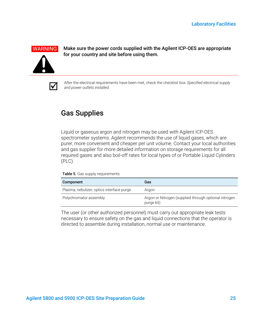

### WARNING Make sure the power cords supplied with the Agilent ICP-OES are appropriate for your country and site before using them.

<span id="page-24-0"></span>

 After the electrical requirements have been met, check the checklist box: *Specified electrical supply and power outlets installed.*

### Gas Supplies

Liquid or gaseous argon and nitrogen may be used with Agilent ICP-OES spectrometer systems. Agilent recommends the use of liquid gases, which are purer, more convenient and cheaper per unit volume. Contact your local authorities and gas supplier for more detailed information on storage requirements for all required gases and also boil-off rates for local types of or Portable Liquid Cylinders (PLC).

| Component                                 | Gas                                                                 |
|-------------------------------------------|---------------------------------------------------------------------|
| Plasma, nebulizer, optics interface purge | Argon                                                               |
| Polychromator assembly                    | Argon or Nitrogen (supplied through optional nitrogen<br>purge kit) |

The user (or other authorized personnel) must carry out appropriate leak tests necessary to ensure safety on the gas and liquid connections that the operator is directed to assemble during installation, normal use or maintenance.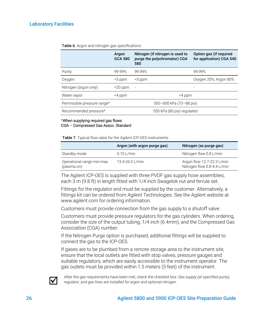#### Laboratory Facilities

|                             | Argon<br><b>GCA 580</b> | 580       | Nitrogen (if nitrogen is used to<br>purge the polychromator) CGA | Option gas (if required<br>for application) CGA 540 |
|-----------------------------|-------------------------|-----------|------------------------------------------------------------------|-----------------------------------------------------|
| Purity                      | 99.99%                  | 99.99%    |                                                                  | 99.99%                                              |
| Oxygen                      | $<$ 5 ppm               | $<$ 5 ppm |                                                                  | Oxygen 20%, Argon 80%                               |
| Nitrogen (argon only)       | $<$ 20 ppm              |           |                                                                  |                                                     |
| Water vapor                 | <4 ppm                  |           | <4 ppm                                                           |                                                     |
| Permissible pressure range* |                         |           | 500-600 kPa (73-88 psi)                                          |                                                     |
| Recommended pressure*       |                         |           | 550 kPa (80 psi) regulated                                       |                                                     |

#### Table 6. Argon and nitrogen gas specifications

#### \*When supplying required gas flows CGA – Compressed Gas Assoc. Standard

Table 7. Typical flow rates for the Agilent ICP-OES instruments

|                                          | Argon (with argon purge gas) | Nitrogen (as purge gas)                                   |
|------------------------------------------|------------------------------|-----------------------------------------------------------|
| Standby mode                             | 0.70 L/min                   | Nitrogen flow 0.8 L/min                                   |
| Operational range min-max<br>(plasma on) | 13.4-26.0 L/min              | Argon flow 12.7-22.3 L/min<br>Nitrogen flow 0.8-4.4 L/min |

The Agilent ICP-OES is supplied with three PVDF gas supply hose assemblies, each 3 m (9.8 ft) in length fitted with 1/4 inch Swagelok nut and ferrule set.

Fittings for the regulator end must be supplied by the customer. Alternatively, a fittings kit can be ordered from Agilent Technologies. See the Agilent website at www.agilent.com for ordering information.

Customers must provide connection from the gas supply to a shutoff valve.

Customers must provide pressure regulators for the gas cylinders. When ordering, consider the size of the output tubing, 1/4 inch (6.4mm), and the Compressed Gas Association (CGA) number.

If the Nitrogen Purge option is purchased, additional fittings will be supplied to connect the gas to the ICP-OES.

If gases are to be plumbed from a remote storage area to the instrument site, ensure that the local outlets are fitted with stop valves, pressure gauges and suitable regulators, which are easily accessible to the instrument operator. The gas outlets must be provided within 1.5 meters (5 feet) of the instrument.



 After the gas requirements have been met, check the checklist box: *Gas supply (at specified purity), regulator, and gas lines are installed for argon and optional nitrogen.*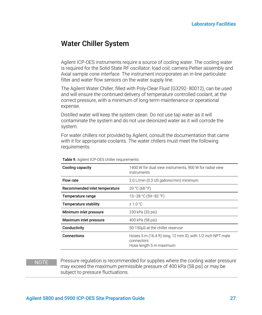### <span id="page-26-0"></span>Water Chiller System

Agilent ICP-OES instruments require a source of cooling water. The cooling water is required for the Solid State RF oscillator, load coil, camera Peltier assembly and Axial sample cone interface. The instrument incorporates an in-line particulate filter and water flow sensors on the water supply line.

The Agilent Water Chiller, filled with Poly-Clear Fluid (G3292- 80012), can be used and will ensure the continued delivery of temperature controlled coolant, at the correct pressure, with a minimum of long-term maintenance or operational expense.

Distilled water will keep the system clean. Do not use tap water as it will contaminate the system and do not use deionized water as it will corrode the system.

For water chillers not provided by Agilent, consult the documentation that came with it for appropriate coolants. The water chillers must meet the following requirements.

| Cooling capacity              | 1400 W for dual view instruments, 900 W for radial view<br>instruments                              |
|-------------------------------|-----------------------------------------------------------------------------------------------------|
| <b>Flow rate</b>              | 2.0 L/min (0.3 US gallons/min) minimum                                                              |
| Recommended inlet temperature | 20 °C (68 °F)                                                                                       |
| Temperature range             | 15-28 °C (59-82 °F)                                                                                 |
| <b>Temperature stability</b>  | $+1.0 °C$                                                                                           |
| Minimum inlet pressure        | 230 kPa (33 psi)                                                                                    |
| Maximum inlet pressure        | 400 kPa (58 psi)                                                                                    |
| Conductivity                  | 50-150uS at the chiller reservoir                                                                   |
| <b>Connections</b>            | Hoses 5 m (16.4 ft) long, 12 mm ID, with 1/2 inch NPT male<br>connectors<br>Hose length 5 m maximum |

Table 9. Agilent ICP-OES chiller requirements

<span id="page-26-1"></span>NOTE Pressure regulation is recommended for supplies where the cooling water pressure may exceed the maximum permissible pressure of 400 kPa (58 psi) or may be subject to pressure fluctuations.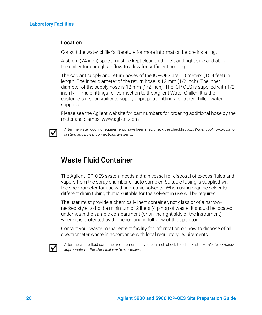#### Laboratory Facilities

### Location

Consult the water chiller's literature for more information before installing.

A 60 cm (24 inch) space must be kept clear on the left and right side and above the chiller for enough air flow to allow for sufficient cooling.

The coolant supply and return hoses of the ICP-OES are 5.0 meters (16.4 feet) in length. The inner diameter of the return hose is 12 mm (1/2 inch). The inner diameter of the supply hose is 12 mm (1/2 inch). The ICP-OES is supplied with 1/2 inch NPT male fittings for connection to the Agilent Water Chiller. It is the customers responsibility to supply appropriate fittings for other chilled water supplies.

Please see the Agilent website for part numbers for ordering additional hose by the meter and clamps: www.agilent.com

<span id="page-27-0"></span>

 After the water cooling requirements have been met, check the checklist box: *Water cooling/circulation system and power connections are set up.*

### Waste Fluid Container

The Agilent ICP-OES system needs a drain vessel for disposal of excess fluids and vapors from the spray chamber or auto sampler. Suitable tubing is supplied with the spectrometer for use with inorganic solvents. When using organic solvents, different drain tubing that is suitable for the solvent in use will be required.

The user must provide a chemically inert container, not glass or of a narrownecked style, to hold a minimum of 2 liters (4 pints) of waste. It should be located underneath the sample compartment (or on the right side of the instrument), where it is protected by the bench and in full view of the operator.

Contact your waste management facility for information on how to dispose of all spectrometer waste in accordance with local regulatory requirements.



 After the waste fluid container requirements have been met, check the checklist box: *Waste container appropriate for the chemical waste is prepared*.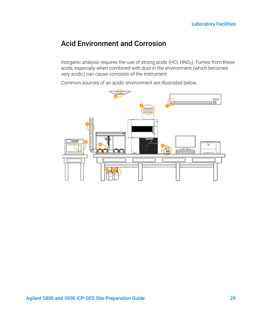### <span id="page-28-0"></span>Acid Environment and Corrosion

Inorganic analysis requires the use of strong acids (HCl, HNO<sub>3</sub>). Fumes from these acids, especially when combined with dust in the environment (which becomes very acidic) can cause corrosion of the instrument.

Common sources of an acidic environment are illustrated below.

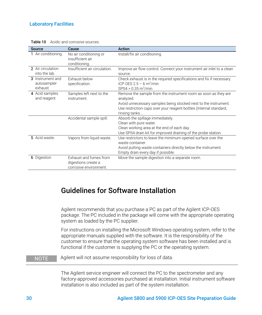### Laboratory Facilities

| Source                                      | Cause                                                                   | Action                                                                                                                                                                                                                                |
|---------------------------------------------|-------------------------------------------------------------------------|---------------------------------------------------------------------------------------------------------------------------------------------------------------------------------------------------------------------------------------|
| 1 Air conditioning.                         | No air conditioning or<br>insufficient air<br>conditioning.             | Install/fix air conditioning.                                                                                                                                                                                                         |
| 2 Air circulation<br>into the lab.          | Insufficient air circulation.                                           | Improve air flow control. Connect your instrument air inlet to a clean<br>source.                                                                                                                                                     |
| 3 Instrument and<br>autosampler<br>exhaust. | Exhaust below<br>specification.                                         | Check exhaust is in the required specifications and fix if necessary.<br>ICP OES $2.5 - 6$ m <sup>3</sup> /min<br>$SPS4 > 0.35 \text{ m}^3/\text{min}$                                                                                |
| 4 Acid samples<br>and reagent.              | Samples left next to the<br>instrument.                                 | Remove the sample from the instrument room as soon as they are<br>analyzed.<br>Avoid unnecessary samples being stocked nest to the instrument.<br>Use restriction caps over your reagent bottles (Internal standard,<br>rinsing tanks |
|                                             | Accidental sample spill.                                                | Absorb the spillage immediately.<br>Clean with pure water.<br>Clean working area at the end of each day.<br>Use SPS4 drain kit for improved draining of the probe station.                                                            |
| 5 Acid waste.                               | Vapors from liquid waste.                                               | Use restrictors to leave the minimum opened surface over the<br>waste container.<br>Avoid putting waste containers directly below the instrument.<br>Empty drain every day if possible.                                               |
| <b>6</b> Digestion                          | Exhaust and fumes from<br>digestions create a<br>corrosive environment. | Move the sample digestion into a separate room.                                                                                                                                                                                       |

Table 10 Acidic and corrosive sources

### <span id="page-29-0"></span>Guidelines for Software Installation

Agilent recommends that you purchase a PC as part of the Agilent ICP-OES package. The PC included in the package will come with the appropriate operating system as loaded by the PC supplier.

For instructions on installing the Microsoft Windows operating system, refer to the appropriate manuals supplied with the software. It is the responsibility of the customer to ensure that the operating system software has been installed and is functional if the customer is supplying the PC or the operating system.

NOTE Agilent will not assume responsibility for loss of data.

The Agilent service engineer will connect the PC to the spectrometer and any factory-approved accessories purchased at installation. Initial instrument software installation is also included as part of the system installation.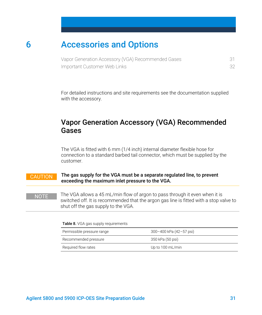# <span id="page-30-0"></span>6 Accessories and Options

| Vapor Generation Accessory (VGA) Recommended Gases |  |
|----------------------------------------------------|--|
| Important Customer Web Links                       |  |

<span id="page-30-1"></span>For detailed instructions and site requirements see the documentation supplied with the accessory.

### Vapor Generation Accessory (VGA) Recommended Gases

The VGA is fitted with 6 mm (1/4 inch) internal diameter flexible hose for connection to a standard barbed tail connector, which must be supplied by the customer.

#### CAUTION The gas supply for the VGA must be a separate regulated line, to prevent exceeding the maximum inlet pressure to the VGA.

NOTE The VGA allows a 45 mL/min flow of argon to pass through it even when it is switched off. It is recommended that the argon gas line is fitted with a stop valve to shut off the gas supply to the VGA.

#### Table 8. VGA gas supply requirements

| Permissible pressure range | 300-400 kPa (42-57 psi) |
|----------------------------|-------------------------|
| Recommended pressure       | 350 kPa (50 psi)        |
| Required flow rates        | Up to 100 mL/min        |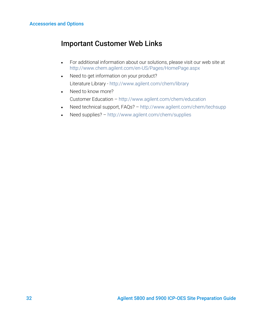### <span id="page-31-0"></span>Important Customer Web Links

- For additional information about our solutions, please visit our web site at <http://www.chem.agilent.com/en-US/Pages/HomePage.aspx>
- Need to get information on your product? Literature Library - <http://www.agilent.com/chem/library>
- Need to know more? Customer Education – <http://www.agilent.com/chem/education>
- Need technical support, FAQs? <http://www.agilent.com/chem/techsupp>
- Need supplies? <http://www.agilent.com/chem/supplies>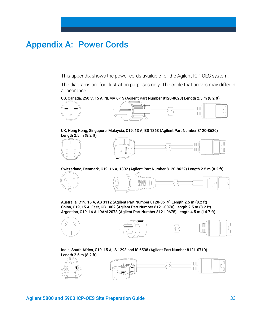# <span id="page-32-0"></span>Appendix A: Power Cords

This appendix shows the power cords available for the Agilent ICP-OES system.

The diagrams are for illustration purposes only. The cable that arrives may differ in appearance.





UK, Hong Kong, Singapore, Malaysia, C19, 13 A, BS 1363 (Agilent Part Number 8120-8620) Length 2.5 m (8.2 ft)





Switzerland, Denmark, C19, 16 A, 1302 (Agilent Part Number 8120-8622) Length 2.5 m (8.2 ft)



Australia, C19, 16 A, AS 3112 (Agilent Part Number 8120-8619) Length 2.5 m (8.2 ft) China, C19, 15 A, Fast, GB 1002 (Agilent Part Number 8121-0070) Length 2.5 m (8.2 ft) Argentina, C19, 16 A, IRAM 2073 (Agilent Part Number 8121-0675) Length 4.5 m (14.7 ft)



India, South Africa, C19, 15 A, IS 1293 and IS 6538 (Agilent Part Number 8121-0710) Length 2.5 m (8.2 ft)

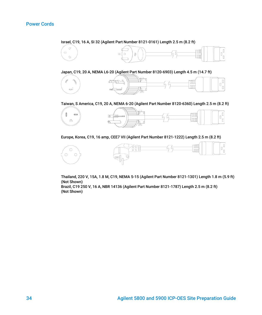#### Power Cords

Israel, C19, 16 A, SI 32 (Agilent Part Number 8121-0161) Length 2.5 m (8.2 ft)



#### Japan, C19, 20 A, NEMA L6-20 (Agilent Part Number 8120-6903) Length 4.5 m (14.7 ft)



Taiwan, S America, C19, 20 A, NEMA 6-20 (Agilent Part Number 8120-6360) Length 2.5 m (8.2 ft)



Europe, Korea, C19, 16 amp, CEE7 VII (Agilent Part Number 8121-1222) Length 2.5 m (8.2 ft)



Thailand, 220 V, 15A, 1.8 M, C19, NEMA 5-15 (Agilent Part Number 8121-1301) Length 1.8 m (5.9 ft) (Not Shown)

Brazil, C19 250 V, 16 A, NBR 14136 (Agilent Part Number 8121-1787) Length 2.5 m (8.2 ft) (Not Shown)